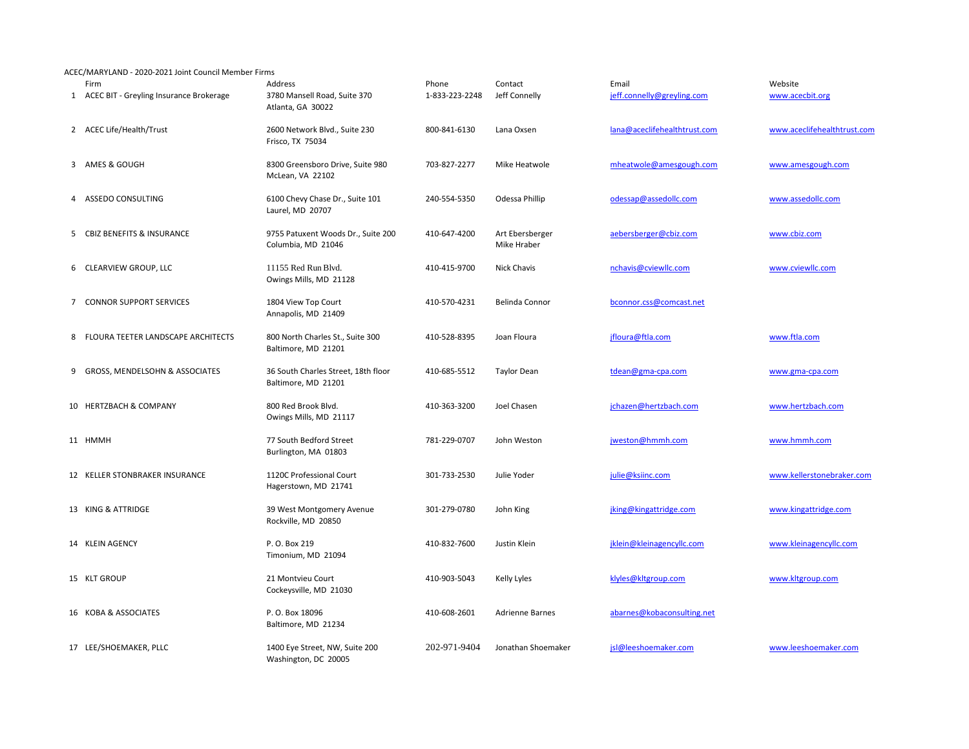ACEC/MARYLAND - 2020-2021 Joint Council Member Firms

|   | Firm<br>1 ACEC BIT - Greyling Insurance Brokerage | Address<br>3780 Mansell Road, Suite 370<br>Atlanta, GA 30022 | Phone<br>1-833-223-2248 | Contact<br>Jeff Connelly       | Email<br>jeff.connelly@greyling.com | Website<br>www.acecbit.org  |
|---|---------------------------------------------------|--------------------------------------------------------------|-------------------------|--------------------------------|-------------------------------------|-----------------------------|
|   | 2 ACEC Life/Health/Trust                          | 2600 Network Blvd., Suite 230<br>Frisco, TX 75034            | 800-841-6130            | Lana Oxsen                     | lana@aceclifehealthtrust.com        | www.aceclifehealthtrust.com |
|   | 3 AMES & GOUGH                                    | 8300 Greensboro Drive, Suite 980<br>McLean, VA 22102         | 703-827-2277            | Mike Heatwole                  | mheatwole@amesgough.com             | www.amesgough.com           |
|   | 4 ASSEDO CONSULTING                               | 6100 Chevy Chase Dr., Suite 101<br>Laurel, MD 20707          | 240-554-5350            | Odessa Phillip                 | odessap@assedollc.com               | www.assedollc.com           |
|   | 5 CBIZ BENEFITS & INSURANCE                       | 9755 Patuxent Woods Dr., Suite 200<br>Columbia, MD 21046     | 410-647-4200            | Art Ebersberger<br>Mike Hraber | aebersberger@cbiz.com               | www.cbiz.com                |
|   | 6 CLEARVIEW GROUP, LLC                            | 11155 Red Run Blvd.<br>Owings Mills, MD 21128                | 410-415-9700            | <b>Nick Chavis</b>             | nchavis@cviewllc.com                | www.cviewllc.com            |
|   | 7 CONNOR SUPPORT SERVICES                         | 1804 View Top Court<br>Annapolis, MD 21409                   | 410-570-4231            | Belinda Connor                 | bconnor.css@comcast.net             |                             |
| 8 | FLOURA TEETER LANDSCAPE ARCHITECTS                | 800 North Charles St., Suite 300<br>Baltimore, MD 21201      | 410-528-8395            | Joan Floura                    | jfloura@ftla.com                    | www.ftla.com                |
|   | 9 GROSS, MENDELSOHN & ASSOCIATES                  | 36 South Charles Street, 18th floor<br>Baltimore, MD 21201   | 410-685-5512            | <b>Taylor Dean</b>             | tdean@gma-cpa.com                   | www.gma-cpa.com             |
|   | 10 HERTZBACH & COMPANY                            | 800 Red Brook Blvd.<br>Owings Mills, MD 21117                | 410-363-3200            | Joel Chasen                    | jchazen@hertzbach.com               | www.hertzbach.com           |
|   | 11 HMMH                                           | 77 South Bedford Street<br>Burlington, MA 01803              | 781-229-0707            | John Weston                    | jweston@hmmh.com                    | www.hmmh.com                |
|   | 12 KELLER STONBRAKER INSURANCE                    | 1120C Professional Court<br>Hagerstown, MD 21741             | 301-733-2530            | Julie Yoder                    | julie@ksiinc.com                    | www.kellerstonebraker.com   |
|   | 13 KING & ATTRIDGE                                | 39 West Montgomery Avenue<br>Rockville, MD 20850             | 301-279-0780            | John King                      | jking@kingattridge.com              | www.kingattridge.com        |
|   | 14 KLEIN AGENCY                                   | P.O. Box 219<br>Timonium, MD 21094                           | 410-832-7600            | Justin Klein                   | jklein@kleinagencyllc.com           | www.kleinagencyllc.com      |
|   | 15 KLT GROUP                                      | 21 Montvieu Court<br>Cockeysville, MD 21030                  | 410-903-5043            | Kelly Lyles                    | klyles@kltgroup.com                 | www.kltgroup.com            |
|   | 16 KOBA & ASSOCIATES                              | P.O. Box 18096<br>Baltimore, MD 21234                        | 410-608-2601            | <b>Adrienne Barnes</b>         | abarnes@kobaconsulting.net          |                             |
|   | 17 LEE/SHOEMAKER, PLLC                            | 1400 Eye Street, NW, Suite 200<br>Washington, DC 20005       | 202-971-9404            | Jonathan Shoemaker             | jsl@leeshoemaker.com                | www.leeshoemaker.com        |